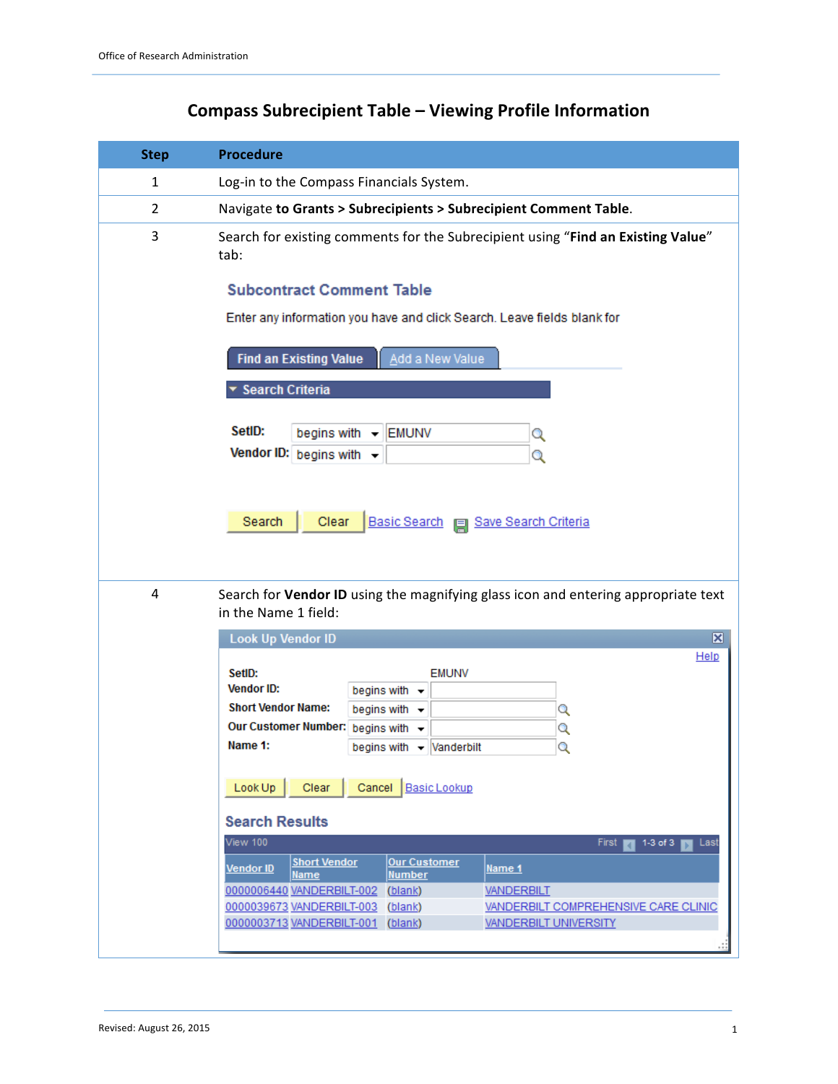| <b>Step</b>    | <b>Procedure</b>                                                                                                                                                                                                                        |
|----------------|-----------------------------------------------------------------------------------------------------------------------------------------------------------------------------------------------------------------------------------------|
| 1              | Log-in to the Compass Financials System.                                                                                                                                                                                                |
| $\overline{2}$ | Navigate to Grants > Subrecipients > Subrecipient Comment Table.                                                                                                                                                                        |
| 3              | Search for existing comments for the Subrecipient using "Find an Existing Value"<br>tab:                                                                                                                                                |
|                | <b>Subcontract Comment Table</b>                                                                                                                                                                                                        |
|                | Enter any information you have and click Search. Leave fields blank for                                                                                                                                                                 |
|                | Add a New Value<br><b>Find an Existing Value</b>                                                                                                                                                                                        |
|                | ▼ Search Criteria                                                                                                                                                                                                                       |
|                | SetID:<br>begins with $\sim$<br><b>EMUNV</b><br>Q                                                                                                                                                                                       |
|                | Vendor ID: begins with $\sim$<br>Q                                                                                                                                                                                                      |
| 4              | Search<br>Clear<br>Basic Search   Save Search Criteria<br>Search for Vendor ID using the magnifying glass icon and entering appropriate text<br>in the Name 1 field:                                                                    |
|                | <b>Look Up Vendor ID</b><br>$\vert \mathbf{x} \vert$                                                                                                                                                                                    |
|                | Help<br>SetID:<br><b>EMUNV</b><br><b>Vendor ID:</b><br>begins with $\sim$<br><b>Short Vendor Name:</b><br>begins with $\sim$<br>Q<br>Our Customer Number: begins with v<br>Q<br>Name 1:<br>begins with $\mathbf{\cdot}$ Vanderbilt<br>Q |
|                | Clear<br>Cancel<br><b>Basic Lookup</b><br>Look Up                                                                                                                                                                                       |
|                | <b>Search Results</b><br><b>View 100</b><br>First<br>$1-3$ of $3$<br>Last                                                                                                                                                               |
|                | a<br><b>Short Vendor</b><br><b>Our Customer</b><br>Vendor ID<br><u>Name 1</u>                                                                                                                                                           |
|                | <b>Name</b><br><b>Number</b><br>0000006440 VANDERBILT-002<br>(blank)<br><u>VANDERBILT</u>                                                                                                                                               |
|                | VANDERBILT COMPREHENSIVE CARE CLINIC<br>0000039673 VANDERBILT-003 (blank)<br>0000003713 VANDERBILT-001 (blank)<br><b>VANDERBILT UNIVERSITY</b>                                                                                          |
|                |                                                                                                                                                                                                                                         |